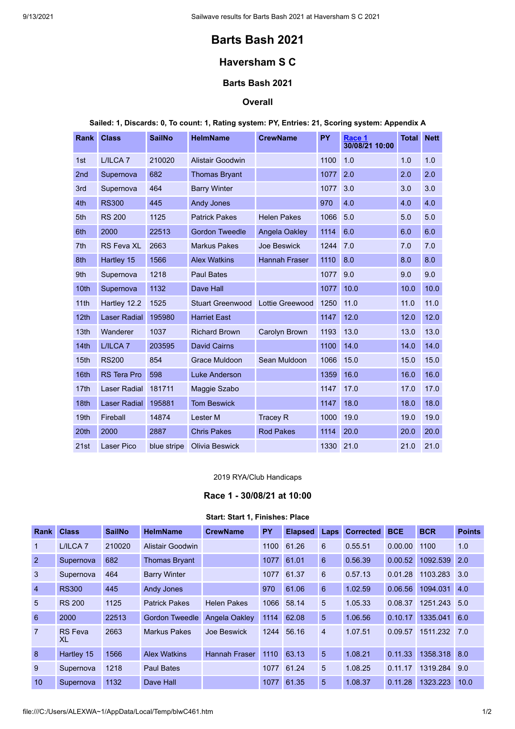# **Barts Bash 2021**

## **Haversham S C**

## **Barts Bash 2021**

## **Overall**

**Sailed: 1, Discards: 0, To count: 1, Rating system: PY, Entries: 21, Scoring system: Appendix A**

| <b>Rank</b>      | <b>Class</b>        | <b>SailNo</b> | <b>HelmName</b>         | <b>CrewName</b>      | <b>PY</b> | Race 1<br>30/08/21 10:00 | <b>Total</b> | <b>Nett</b> |
|------------------|---------------------|---------------|-------------------------|----------------------|-----------|--------------------------|--------------|-------------|
| 1st              | L/ILCA <sub>7</sub> | 210020        | <b>Alistair Goodwin</b> |                      | 1100      | 1.0                      | 1.0          | 1.0         |
| 2nd              | Supernova           | 682           | <b>Thomas Bryant</b>    |                      | 1077      | 2.0                      | 2.0          | 2.0         |
| 3rd              | Supernova           | 464           | <b>Barry Winter</b>     |                      | 1077      | 3.0                      | 3.0          | 3.0         |
| 4th              | <b>RS300</b>        | 445           | <b>Andy Jones</b>       |                      | 970       | 4.0                      | 4.0          | 4.0         |
| 5th              | <b>RS 200</b>       | 1125          | <b>Patrick Pakes</b>    | <b>Helen Pakes</b>   | 1066      | 5.0                      | 5.0          | 5.0         |
| 6th              | 2000                | 22513         | <b>Gordon Tweedle</b>   | Angela Oakley        | 1114      | 6.0                      | 6.0          | 6.0         |
| 7th              | <b>RS Feva XL</b>   | 2663          | <b>Markus Pakes</b>     | <b>Joe Beswick</b>   | 1244      | 7.0                      | 7.0          | 7.0         |
| 8th              | Hartley 15          | 1566          | <b>Alex Watkins</b>     | <b>Hannah Fraser</b> | 1110      | 8.0                      | 8.0          | 8.0         |
| 9th              | Supernova           | 1218          | <b>Paul Bates</b>       |                      | 1077      | 9.0                      | 9.0          | 9.0         |
| 10th             | Supernova           | 1132          | Dave Hall               |                      | 1077      | 10.0                     | 10.0         | 10.0        |
| 11th             | Hartley 12.2        | 1525          | <b>Stuart Greenwood</b> | Lottie Greewood      | 1250      | 11.0                     | 11.0         | 11.0        |
| 12 <sub>th</sub> | <b>Laser Radial</b> | 195980        | <b>Harriet East</b>     |                      | 1147      | 12.0                     | 12.0         | 12.0        |
| 13th             | Wanderer            | 1037          | <b>Richard Brown</b>    | Carolyn Brown        | 1193      | 13.0                     | 13.0         | 13.0        |
| 14th             | L/ILCA <sub>7</sub> | 203595        | <b>David Cairns</b>     |                      | 1100      | 14.0                     | 14.0         | 14.0        |
| 15 <sub>th</sub> | <b>RS200</b>        | 854           | Grace Muldoon           | Sean Muldoon         | 1066      | 15.0                     | 15.0         | 15.0        |
| 16th             | <b>RS Tera Pro</b>  | 598           | <b>Luke Anderson</b>    |                      | 1359      | 16.0                     | 16.0         | 16.0        |
| 17th             | <b>Laser Radial</b> | 181711        | Maggie Szabo            |                      | 1147      | 17.0                     | 17.0         | 17.0        |
| 18 <sub>th</sub> | Laser Radial        | 195881        | <b>Tom Beswick</b>      |                      | 1147      | 18.0                     | 18.0         | 18.0        |
| 19th             | Fireball            | 14874         | Lester <sub>M</sub>     | <b>Tracey R</b>      | 1000      | 19.0                     | 19.0         | 19.0        |
| 20th             | 2000                | 2887          | <b>Chris Pakes</b>      | <b>Rod Pakes</b>     | 1114      | 20.0                     | 20.0         | 20.0        |
| 21st             | <b>Laser Pico</b>   | blue stripe   | <b>Olivia Beswick</b>   |                      | 1330      | 21.0                     | 21.0         | 21.0        |

#### 2019 RYA/Club Handicaps

#### **Race 1 - 30/08/21 at 10:00**

## **Start: Start 1, Finishes: Place**

<span id="page-0-0"></span>

| <b>Rank</b>     | <b>Class</b>         | <b>SailNo</b> | <b>HelmName</b>       | <b>CrewName</b>      | <b>PY</b> | <b>Elapsed</b> | Laps            | <b>Corrected</b> | <b>BCE</b> | <b>BCR</b> | <b>Points</b> |
|-----------------|----------------------|---------------|-----------------------|----------------------|-----------|----------------|-----------------|------------------|------------|------------|---------------|
|                 | L/ILCA <sub>7</sub>  | 210020        | Alistair Goodwin      |                      | 1100      | 61.26          | 6               | 0.55.51          | 0.00.00    | 1100       | 1.0           |
| $\overline{2}$  | Supernova            | 682           | <b>Thomas Bryant</b>  |                      | 1077      | 61.01          | $6\phantom{1}6$ | 0.56.39          | 0.00.52    | 1092.539   | 2.0           |
| $\mathbf{3}$    | Supernova            | 464           | <b>Barry Winter</b>   |                      | 1077      | 61.37          | 6               | 0.57.13          | 0.01.28    | 1103.283   | 3.0           |
| $\overline{4}$  | <b>RS300</b>         | 445           | <b>Andy Jones</b>     |                      | 970       | 61.06          | 6               | 1.02.59          | 0.06.56    | 1094.031   | 4.0           |
| $5\overline{)}$ | <b>RS 200</b>        | 1125          | <b>Patrick Pakes</b>  | <b>Helen Pakes</b>   | 1066      | 58.14          | 5               | 1.05.33          | 0.08.37    | 1251.243   | 5.0           |
| 6               | 2000                 | 22513         | <b>Gordon Tweedle</b> | Angela Oakley        | 1114      | 62.08          | 5               | 1.06.56          | 0.10.17    | 1335.041   | 6.0           |
| $\overline{7}$  | <b>RS</b> Feva<br>XL | 2663          | <b>Markus Pakes</b>   | Joe Beswick          | 1244      | 56.16          | $\overline{4}$  | 1.07.51          | 0.09.57    | 1511.232   | 7.0           |
| 8               | Hartley 15           | 1566          | <b>Alex Watkins</b>   | <b>Hannah Fraser</b> | 1110      | 63.13          | 5               | 1.08.21          | 0.11.33    | 1358.318   | 8.0           |
| 9               | Supernova            | 1218          | <b>Paul Bates</b>     |                      |           | 1077 61.24     | 5               | 1.08.25          | 0.11.17    | 1319.284   | 9.0           |
| 10              | Supernova            | 1132          | Dave Hall             |                      | 1077      | 61.35          | 5               | 1.08.37          | 0.11.28    | 1323.223   | 10.0          |